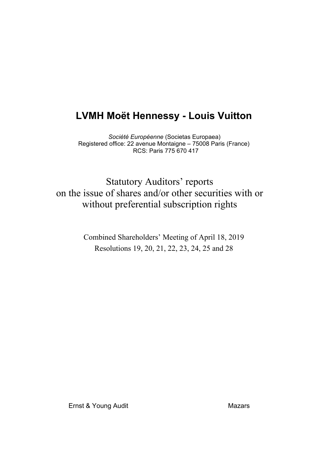*Société Européenne* (Societas Europaea) Registered office: 22 avenue Montaigne – 75008 Paris (France) RCS: Paris 775 670 417

Statutory Auditors' reports on the issue of shares and/or other securities with or without preferential subscription rights

> Combined Shareholders' Meeting of April 18, 2019 Resolutions 19, 20, 21, 22, 23, 24, 25 and 28

Ernst & Young Audit Mazars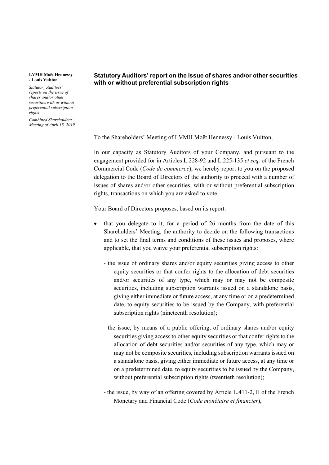*Statutory Auditors' reports on the issue of shares and/or other securities with or without preferential subscription rights*

*Combined Shareholders' Meeting of April 18, 2019*

## **Statutory Auditors' report on the issue of shares and/or other securities with or without preferential subscription rights**

To the Shareholders' Meeting of LVMH Moët Hennessy - Louis Vuitton,

In our capacity as Statutory Auditors of your Company, and pursuant to the engagement provided for in Articles L.228-92 and L.225-135 *et seq.* of the French Commercial Code (*Code de commerce*), we hereby report to you on the proposed delegation to the Board of Directors of the authority to proceed with a number of issues of shares and/or other securities, with or without preferential subscription rights, transactions on which you are asked to vote.

Your Board of Directors proposes, based on its report:

- that you delegate to it, for a period of 26 months from the date of this Shareholders' Meeting, the authority to decide on the following transactions and to set the final terms and conditions of these issues and proposes, where applicable, that you waive your preferential subscription rights:
	- ‐ the issue of ordinary shares and/or equity securities giving access to other equity securities or that confer rights to the allocation of debt securities and/or securities of any type, which may or may not be composite securities, including subscription warrants issued on a standalone basis, giving either immediate or future access, at any time or on a predetermined date, to equity securities to be issued by the Company, with preferential subscription rights (nineteenth resolution);
	- ‐ the issue, by means of a public offering, of ordinary shares and/or equity securities giving access to other equity securities or that confer rights to the allocation of debt securities and/or securities of any type, which may or may not be composite securities, including subscription warrants issued on a standalone basis, giving either immediate or future access, at any time or on a predetermined date, to equity securities to be issued by the Company, without preferential subscription rights (twentieth resolution);
	- ‐ the issue, by way of an offering covered by Article L.411-2, II of the French Monetary and Financial Code (*Code monétaire et financier*),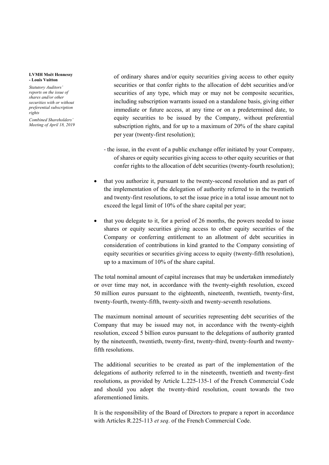*Statutory Auditors' reports on the issue of shares and/or other securities with or without preferential subscription rights*

*Combined Shareholders' Meeting of April 18, 2019* of ordinary shares and/or equity securities giving access to other equity securities or that confer rights to the allocation of debt securities and/or securities of any type, which may or may not be composite securities, including subscription warrants issued on a standalone basis, giving either immediate or future access, at any time or on a predetermined date, to equity securities to be issued by the Company, without preferential subscription rights, and for up to a maximum of 20% of the share capital per year (twenty-first resolution);

- ‐ the issue, in the event of a public exchange offer initiated by your Company, of shares or equity securities giving access to other equity securities or that confer rights to the allocation of debt securities (twenty-fourth resolution);
- that you authorize it, pursuant to the twenty-second resolution and as part of the implementation of the delegation of authority referred to in the twentieth and twenty-first resolutions, to set the issue price in a total issue amount not to exceed the legal limit of 10% of the share capital per year;
- that you delegate to it, for a period of 26 months, the powers needed to issue shares or equity securities giving access to other equity securities of the Company or conferring entitlement to an allotment of debt securities in consideration of contributions in kind granted to the Company consisting of equity securities or securities giving access to equity (twenty-fifth resolution), up to a maximum of 10% of the share capital.

The total nominal amount of capital increases that may be undertaken immediately or over time may not, in accordance with the twenty-eighth resolution, exceed 50 million euros pursuant to the eighteenth, nineteenth, twentieth, twenty-first, twenty-fourth, twenty-fifth, twenty-sixth and twenty-seventh resolutions.

The maximum nominal amount of securities representing debt securities of the Company that may be issued may not, in accordance with the twenty-eighth resolution, exceed 5 billion euros pursuant to the delegations of authority granted by the nineteenth, twentieth, twenty-first, twenty-third, twenty-fourth and twentyfifth resolutions.

The additional securities to be created as part of the implementation of the delegations of authority referred to in the nineteenth, twentieth and twenty-first resolutions, as provided by Article L.225-135-1 of the French Commercial Code and should you adopt the twenty-third resolution, count towards the two aforementioned limits.

It is the responsibility of the Board of Directors to prepare a report in accordance with Articles R.225-113 *et seq*. of the French Commercial Code.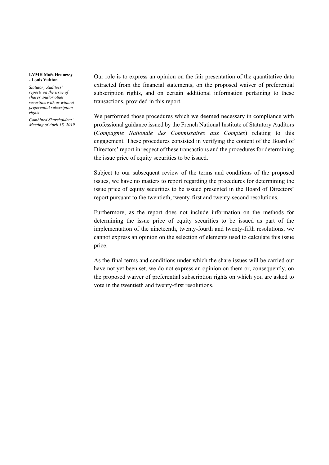*Statutory Auditors' reports on the issue of shares and/or other securities with or without preferential subscription rights*

*Combined Shareholders' Meeting of April 18, 2019* Our role is to express an opinion on the fair presentation of the quantitative data extracted from the financial statements, on the proposed waiver of preferential subscription rights, and on certain additional information pertaining to these transactions, provided in this report.

We performed those procedures which we deemed necessary in compliance with professional guidance issued by the French National Institute of Statutory Auditors (*Compagnie Nationale des Commissaires aux Comptes*) relating to this engagement. These procedures consisted in verifying the content of the Board of Directors' report in respect of these transactions and the procedures for determining the issue price of equity securities to be issued.

Subject to our subsequent review of the terms and conditions of the proposed issues, we have no matters to report regarding the procedures for determining the issue price of equity securities to be issued presented in the Board of Directors' report pursuant to the twentieth, twenty-first and twenty-second resolutions.

Furthermore, as the report does not include information on the methods for determining the issue price of equity securities to be issued as part of the implementation of the nineteenth, twenty-fourth and twenty-fifth resolutions, we cannot express an opinion on the selection of elements used to calculate this issue price.

As the final terms and conditions under which the share issues will be carried out have not yet been set, we do not express an opinion on them or, consequently, on the proposed waiver of preferential subscription rights on which you are asked to vote in the twentieth and twenty-first resolutions.